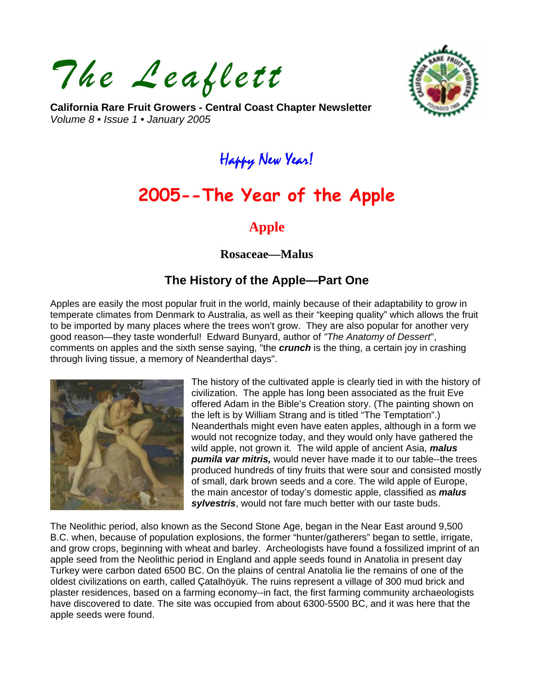*The Leaflett* 



**California Rare Fruit Growers - Central Coast Chapter Newsletter**  *Volume 8 • Issue 1 • January 2005* 

## Happy New Year!

# **2005--The Year of the Apple**

### **Apple**

**Rosaceae—Malus** 

## **The History of the Apple—Part One**

Apples are easily the most popular fruit in the world, mainly because of their adaptability to grow in temperate climates from Denmark to Australia, as well as their "keeping quality" which allows the fruit to be imported by many places where the trees won't grow. They are also popular for another very good reason—they taste wonderful! Edward Bunyard, author of *"The Anatomy of Dessert*", comments on apples and the sixth sense saying, "the *crunch* is the thing, a certain joy in crashing through living tissue, a memory of Neanderthal days".



The history of the cultivated apple is clearly tied in with the history of civilization. The apple has long been associated as the fruit Eve offered Adam in the Bible's Creation story. (The painting shown on the left is by William Strang and is titled "The Temptation".) Neanderthals might even have eaten apples, although in a form we would not recognize today, and they would only have gathered the wild apple, not grown it. The wild apple of ancient Asia, *malus pumila var mitris,* would never have made it to our table--the trees produced hundreds of tiny fruits that were sour and consisted mostly of small, dark brown seeds and a core. The wild apple of Europe, the main ancestor of today's domestic apple, classified as *malus sylvestris*, would not fare much better with our taste buds.

The Neolithic period, also known as the Second Stone Age, began in the Near East around 9,500 B.C. when, because of population explosions, the former "hunter/gatherers" began to settle, irrigate, and grow crops, beginning with wheat and barley. Archeologists have found a fossilized imprint of an apple seed from the Neolithic period in England and apple seeds found in Anatolia in present day Turkey were carbon dated 6500 BC. On the plains of central Anatolia lie the remains of one of the oldest civilizations on earth, called Çatalhöyük. The ruins represent a village of 300 mud brick and plaster residences, based on a farming economy--in fact, the first farming community archaeologists have discovered to date. The site was occupied from about 6300-5500 BC, and it was here that the apple seeds were found.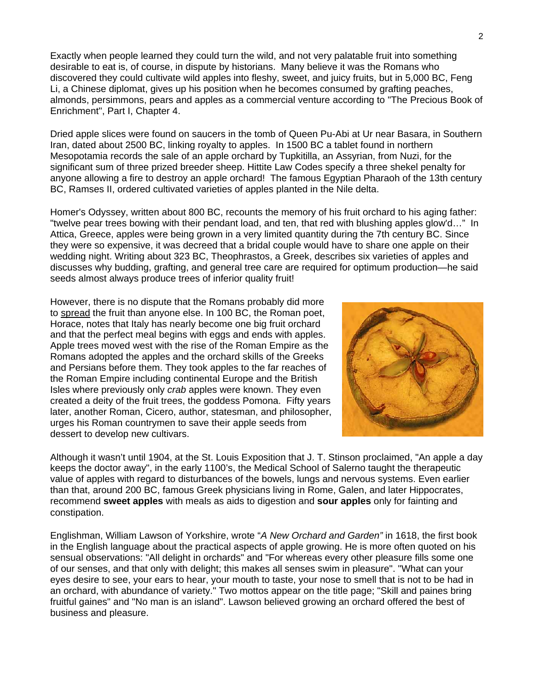Exactly when people learned they could turn the wild, and not very palatable fruit into something desirable to eat is, of course, in dispute by historians. Many believe it was the Romans who discovered they could cultivate wild apples into fleshy, sweet, and juicy fruits, but in 5,000 BC, Feng Li, a Chinese diplomat, gives up his position when he becomes consumed by grafting peaches, almonds, persimmons, pears and apples as a commercial venture according to "The Precious Book of Enrichment", Part I, Chapter 4.

Dried apple slices were found on saucers in the tomb of Queen Pu-Abi at Ur near Basara, in Southern Iran, dated about 2500 BC, linking royalty to apples. In 1500 BC a tablet found in northern Mesopotamia records the sale of an apple orchard by Tupkitilla, an Assyrian, from Nuzi, for the significant sum of three prized breeder sheep. Hittite Law Codes specify a three shekel penalty for anyone allowing a fire to destroy an apple orchard! The famous Egyptian Pharaoh of the 13th century BC, Ramses II, ordered cultivated varieties of apples planted in the Nile delta.

Homer's Odyssey, written about 800 BC, recounts the memory of his fruit orchard to his aging father: "twelve pear trees bowing with their pendant load, and ten, that red with blushing apples glow'd…" In Attica, Greece, apples were being grown in a very limited quantity during the 7th century BC. Since they were so expensive, it was decreed that a bridal couple would have to share one apple on their wedding night. Writing about 323 BC, Theophrastos, a Greek, describes six varieties of apples and discusses why budding, grafting, and general tree care are required for optimum production—he said seeds almost always produce trees of inferior quality fruit!

However, there is no dispute that the Romans probably did more to spread the fruit than anyone else. In 100 BC, the Roman poet, Horace, notes that Italy has nearly become one big fruit orchard and that the perfect meal begins with eggs and ends with apples. Apple trees moved west with the rise of the Roman Empire as the Romans adopted the apples and the orchard skills of the Greeks and Persians before them. They took apples to the far reaches of the Roman Empire including continental Europe and the British Isles where previously only *crab* apples were known. They even created a deity of the fruit trees, the goddess Pomona. Fifty years later, another Roman, Cicero, author, statesman, and philosopher, urges his Roman countrymen to save their apple seeds from dessert to develop new cultivars.



Although it wasn't until 1904, at the St. Louis Exposition that J. T. Stinson proclaimed, "An apple a day keeps the doctor away", in the early 1100's, the Medical School of Salerno taught the therapeutic value of apples with regard to disturbances of the bowels, lungs and nervous systems. Even earlier than that, around 200 BC, famous Greek physicians living in Rome, Galen, and later Hippocrates, recommend **sweet apples** with meals as aids to digestion and **sour apples** only for fainting and constipation.

Englishman, William Lawson of Yorkshire, wrote "*A New Orchard and Garden"* in 1618, the first book in the English language about the practical aspects of apple growing. He is more often quoted on his sensual observations: "All delight in orchards" and "For whereas every other pleasure fills some one of our senses, and that only with delight; this makes all senses swim in pleasure". "What can your eyes desire to see, your ears to hear, your mouth to taste, your nose to smell that is not to be had in an orchard, with abundance of variety." Two mottos appear on the title page; "Skill and paines bring fruitful gaines" and "No man is an island". Lawson believed growing an orchard offered the best of business and pleasure.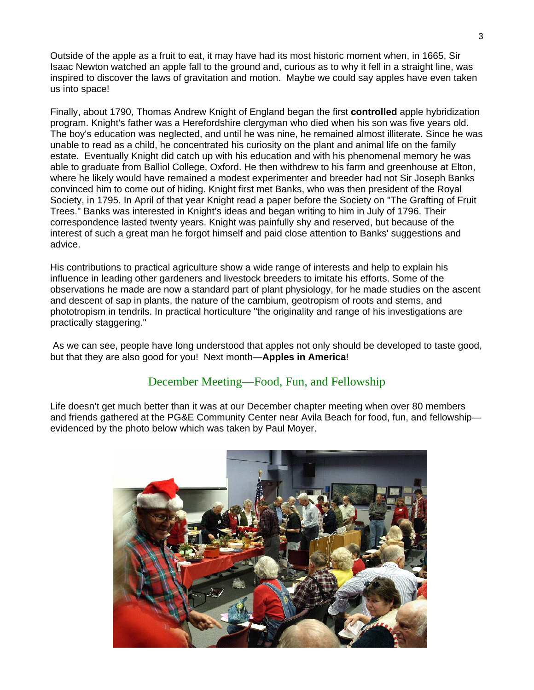Outside of the apple as a fruit to eat, it may have had its most historic moment when, in 1665, Sir Isaac Newton watched an apple fall to the ground and, curious as to why it fell in a straight line, was inspired to discover the laws of gravitation and motion. Maybe we could say apples have even taken us into space!

Finally, about 1790, Thomas Andrew Knight of England began the first **controlled** apple hybridization program. Knight's father was a Herefordshire clergyman who died when his son was five years old. The boy's education was neglected, and until he was nine, he remained almost illiterate. Since he was unable to read as a child, he concentrated his curiosity on the plant and animal life on the family estate. Eventually Knight did catch up with his education and with his phenomenal memory he was able to graduate from Balliol College, Oxford. He then withdrew to his farm and greenhouse at Elton, where he likely would have remained a modest experimenter and breeder had not Sir Joseph Banks convinced him to come out of hiding. Knight first met Banks, who was then president of the Royal Society, in 1795. In April of that year Knight read a paper before the Society on "The Grafting of Fruit Trees." Banks was interested in Knight's ideas and began writing to him in July of 1796. Their correspondence lasted twenty years. Knight was painfully shy and reserved, but because of the interest of such a great man he forgot himself and paid close attention to Banks' suggestions and advice.

His contributions to practical agriculture show a wide range of interests and help to explain his influence in leading other gardeners and livestock breeders to imitate his efforts. Some of the observations he made are now a standard part of plant physiology, for he made studies on the ascent and descent of sap in plants, the nature of the cambium, geotropism of roots and stems, and phototropism in tendrils. In practical horticulture "the originality and range of his investigations are practically staggering."

 As we can see, people have long understood that apples not only should be developed to taste good, but that they are also good for you! Next month—**Apples in America**!

#### December Meeting—Food, Fun, and Fellowship

Life doesn't get much better than it was at our December chapter meeting when over 80 members and friends gathered at the PG&E Community Center near Avila Beach for food, fun, and fellowship evidenced by the photo below which was taken by Paul Moyer.

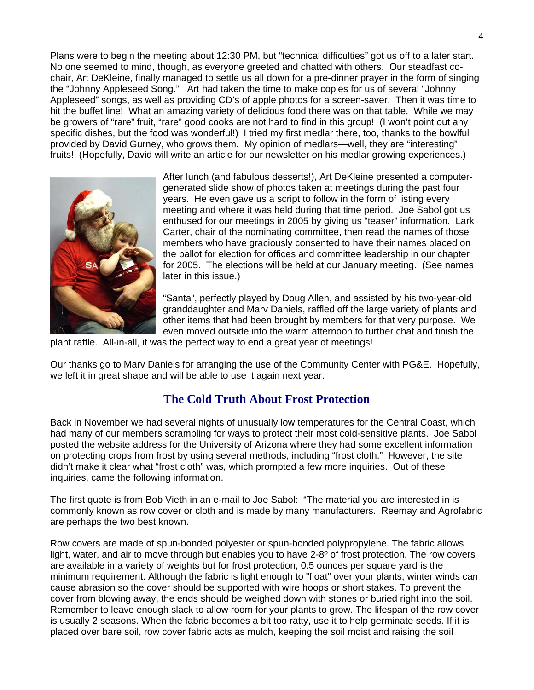Plans were to begin the meeting about 12:30 PM, but "technical difficulties" got us off to a later start. No one seemed to mind, though, as everyone greeted and chatted with others. Our steadfast cochair, Art DeKleine, finally managed to settle us all down for a pre-dinner prayer in the form of singing the "Johnny Appleseed Song." Art had taken the time to make copies for us of several "Johnny Appleseed" songs, as well as providing CD's of apple photos for a screen-saver. Then it was time to hit the buffet line! What an amazing variety of delicious food there was on that table. While we may be growers of "rare" fruit, "rare" good cooks are not hard to find in this group! (I won't point out any specific dishes, but the food was wonderful!) I tried my first medlar there, too, thanks to the bowlful provided by David Gurney, who grows them. My opinion of medlars—well, they are "interesting" fruits! (Hopefully, David will write an article for our newsletter on his medlar growing experiences.)



After lunch (and fabulous desserts!), Art DeKleine presented a computergenerated slide show of photos taken at meetings during the past four years. He even gave us a script to follow in the form of listing every meeting and where it was held during that time period. Joe Sabol got us enthused for our meetings in 2005 by giving us "teaser" information. Lark Carter, chair of the nominating committee, then read the names of those members who have graciously consented to have their names placed on the ballot for election for offices and committee leadership in our chapter for 2005. The elections will be held at our January meeting. (See names later in this issue.)

"Santa", perfectly played by Doug Allen, and assisted by his two-year-old granddaughter and Marv Daniels, raffled off the large variety of plants and other items that had been brought by members for that very purpose. We even moved outside into the warm afternoon to further chat and finish the

plant raffle. All-in-all, it was the perfect way to end a great year of meetings!

Our thanks go to Marv Daniels for arranging the use of the Community Center with PG&E. Hopefully, we left it in great shape and will be able to use it again next year.

#### **The Cold Truth About Frost Protection**

Back in November we had several nights of unusually low temperatures for the Central Coast, which had many of our members scrambling for ways to protect their most cold-sensitive plants. Joe Sabol posted the website address for the University of Arizona where they had some excellent information on protecting crops from frost by using several methods, including "frost cloth." However, the site didn't make it clear what "frost cloth" was, which prompted a few more inquiries. Out of these inquiries, came the following information.

The first quote is from Bob Vieth in an e-mail to Joe Sabol: "The material you are interested in is commonly known as row cover or cloth and is made by many manufacturers. Reemay and Agrofabric are perhaps the two best known.

Row covers are made of spun-bonded polyester or spun-bonded polypropylene. The fabric allows light, water, and air to move through but enables you to have 2-8° of frost protection. The row covers are available in a variety of weights but for frost protection, 0.5 ounces per square yard is the minimum requirement. Although the fabric is light enough to "float" over your plants, winter winds can cause abrasion so the cover should be supported with wire hoops or short stakes. To prevent the cover from blowing away, the ends should be weighed down with stones or buried right into the soil. Remember to leave enough slack to allow room for your plants to grow. The lifespan of the row cover is usually 2 seasons. When the fabric becomes a bit too ratty, use it to help germinate seeds. If it is placed over bare soil, row cover fabric acts as mulch, keeping the soil moist and raising the soil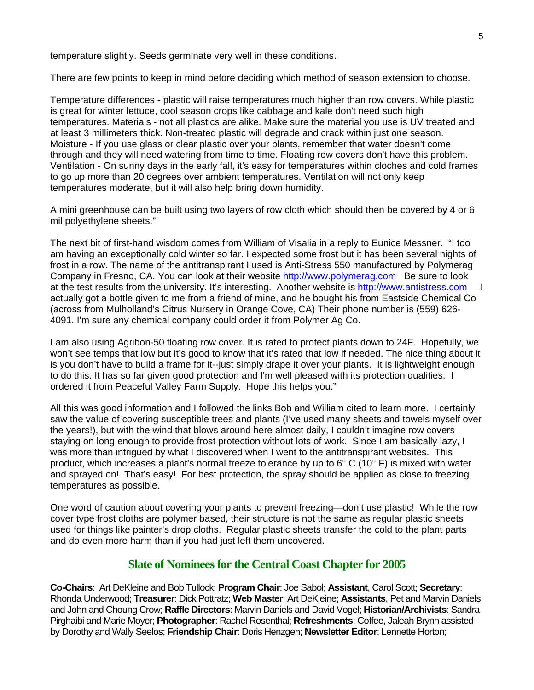temperature slightly. Seeds germinate very well in these conditions.

There are few points to keep in mind before deciding which method of season extension to choose.

Temperature differences - plastic will raise temperatures much higher than row covers. While plastic is great for winter lettuce, cool season crops like cabbage and kale don't need such high temperatures. Materials - not all plastics are alike. Make sure the material you use is UV treated and at least 3 millimeters thick. Non-treated plastic will degrade and crack within just one season. Moisture - If you use glass or clear plastic over your plants, remember that water doesn't come through and they will need watering from time to time. Floating row covers don't have this problem. Ventilation - On sunny days in the early fall, it's easy for temperatures within cloches and cold frames to go up more than 20 degrees over ambient temperatures. Ventilation will not only keep temperatures moderate, but it will also help bring down humidity.

A mini greenhouse can be built using two layers of row cloth which should then be covered by 4 or 6 mil polyethylene sheets."

The next bit of first-hand wisdom comes from William of Visalia in a reply to Eunice Messner. "I too am having an exceptionally cold winter so far. I expected some frost but it has been several nights of frost in a row. The name of the antitranspirant I used is Anti-Stress 550 manufactured by Polymerag Company in Fresno, CA. You can look at their website [http://www.polymerag.com](http://www.polymerag.com/) Be sure to look at the test results from the university. It's interesting. Another website is http://www.antistress.com actually got a bottle given to me from a friend of mine, and he bought his from Eastside Chemical Co (across from Mulholland's Citrus Nursery in Orange Cove, CA) Their phone number is (559) 626- 4091. I'm sure any chemical company could order it from Polymer Ag Co.

I am also using Agribon-50 floating row cover. It is rated to protect plants down to 24F. Hopefully, we won't see temps that low but it's good to know that it's rated that low if needed. The nice thing about it is you don't have to build a frame for it--just simply drape it over your plants. It is lightweight enough to do this. It has so far given good protection and I'm well pleased with its protection qualities. I ordered it from Peaceful Valley Farm Supply. Hope this helps you."

All this was good information and I followed the links Bob and William cited to learn more. I certainly saw the value of covering susceptible trees and plants (I've used many sheets and towels myself over the years!), but with the wind that blows around here almost daily, I couldn't imagine row covers staying on long enough to provide frost protection without lots of work. Since I am basically lazy, I was more than intrigued by what I discovered when I went to the antitranspirant websites. This product, which increases a plant's normal freeze tolerance by up to 6° C (10° F) is mixed with water and sprayed on! That's easy! For best protection, the spray should be applied as close to freezing temperatures as possible.

One word of caution about covering your plants to prevent freezing—don't use plastic! While the row cover type frost cloths are polymer based, their structure is not the same as regular plastic sheets used for things like painter's drop cloths. Regular plastic sheets transfer the cold to the plant parts and do even more harm than if you had just left them uncovered.

#### **Slate of Nominees for the Central Coast Chapter for 2005**

**Co-Chairs**: Art DeKleine and Bob Tullock; **Program Chair**: Joe Sabol; **Assistant**, Carol Scott; **Secretary**: Rhonda Underwood; **Treasurer**: Dick Pottratz; **Web Master**: Art DeKleine; **Assistants**, Pet and Marvin Daniels and John and Choung Crow; **Raffle Directors**: Marvin Daniels and David Vogel; **Historian/Archivists**: Sandra Pirghaibi and Marie Moyer; **Photographer**: Rachel Rosenthal; **Refreshments**: Coffee, Jaleah Brynn assisted by Dorothy and Wally Seelos; **Friendship Chair**: Doris Henzgen; **Newsletter Editor**: Lennette Horton;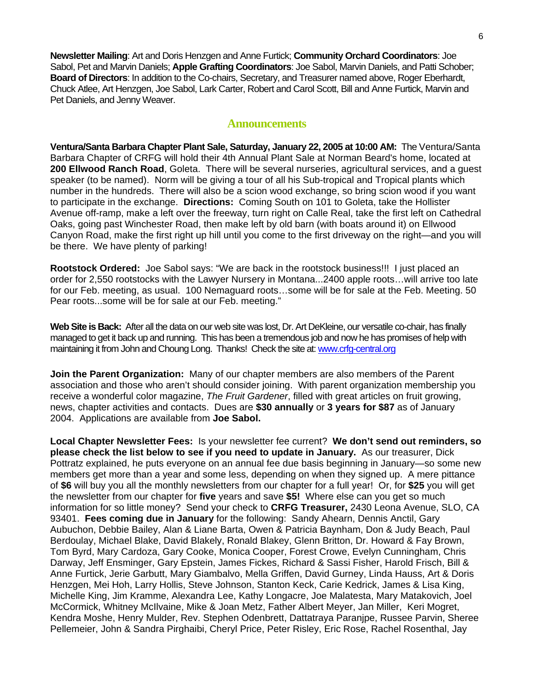**Newsletter Mailing**: Art and Doris Henzgen and Anne Furtick; **Community Orchard Coordinators**: Joe Sabol, Pet and Marvin Daniels; **Apple Grafting Coordinators**: Joe Sabol, Marvin Daniels, and Patti Schober; **Board of Directors**: In addition to the Co-chairs, Secretary, and Treasurer named above, Roger Eberhardt, Chuck Atlee, Art Henzgen, Joe Sabol, Lark Carter, Robert and Carol Scott, Bill and Anne Furtick, Marvin and Pet Daniels, and Jenny Weaver.

#### **Announcements**

**Ventura/Santa Barbara Chapter Plant Sale, Saturday, January 22, 2005 at 10:00 AM:** The Ventura/Santa Barbara Chapter of CRFG will hold their 4th Annual Plant Sale at Norman Beard's home, located at **200 Ellwood Ranch Road**, Goleta. There will be several nurseries, agricultural services, and a guest speaker (to be named). Norm will be giving a tour of all his Sub-tropical and Tropical plants which number in the hundreds. There will also be a scion wood exchange, so bring scion wood if you want to participate in the exchange. **Directions:** Coming South on 101 to Goleta, take the Hollister Avenue off-ramp, make a left over the freeway, turn right on Calle Real, take the first left on Cathedral Oaks, going past Winchester Road, then make left by old barn (with boats around it) on Ellwood Canyon Road, make the first right up hill until you come to the first driveway on the right—and you will be there. We have plenty of parking!

**Rootstock Ordered:** Joe Sabol says: "We are back in the rootstock business!!! I just placed an order for 2,550 rootstocks with the Lawyer Nursery in Montana...2400 apple roots…will arrive too late for our Feb. meeting, as usual. 100 Nemaguard roots…some will be for sale at the Feb. Meeting. 50 Pear roots...some will be for sale at our Feb. meeting."

**Web Site is Back:** After all the data on our web site was lost, Dr. Art DeKleine, our versatile co-chair, has finally managed to get it back up and running. This has been a tremendous job and now he has promises of help with maintaining it from John and Choung Long. Thanks! Check the site at: [www.crfg-central.org](http://www.crfg-central.org/)

**Join the Parent Organization:** Many of our chapter members are also members of the Parent association and those who aren't should consider joining. With parent organization membership you receive a wonderful color magazine, *The Fruit Gardener*, filled with great articles on fruit growing, news, chapter activities and contacts. Dues are **\$30 annually** or **3 years for \$87** as of January 2004. Applications are available from **Joe Sabol.** 

**Local Chapter Newsletter Fees:** Is your newsletter fee current? **We don't send out reminders, so please check the list below to see if you need to update in January.** As our treasurer, Dick Pottratz explained, he puts everyone on an annual fee due basis beginning in January—so some new members get more than a year and some less, depending on when they signed up. A mere pittance of **\$6** will buy you all the monthly newsletters from our chapter for a full year! Or, for **\$25** you will get the newsletter from our chapter for **five** years and save **\$5!** Where else can you get so much information for so little money? Send your check to **CRFG Treasurer,** 2430 Leona Avenue, SLO, CA 93401. **Fees coming due in January** for the following: Sandy Ahearn, Dennis Anctil, Gary Aubuchon, Debbie Bailey, Alan & Liane Barta, Owen & Patricia Baynham, Don & Judy Beach, Paul Berdoulay, Michael Blake, David Blakely, Ronald Blakey, Glenn Britton, Dr. Howard & Fay Brown, Tom Byrd, Mary Cardoza, Gary Cooke, Monica Cooper, Forest Crowe, Evelyn Cunningham, Chris Darway, Jeff Ensminger, Gary Epstein, James Fickes, Richard & Sassi Fisher, Harold Frisch, Bill & Anne Furtick, Jerie Garbutt, Mary Giambalvo, Mella Griffen, David Gurney, Linda Hauss, Art & Doris Henzgen, Mei Hoh, Larry Hollis, Steve Johnson, Stanton Keck, Carie Kedrick, James & Lisa King, Michelle King, Jim Kramme, Alexandra Lee, Kathy Longacre, Joe Malatesta, Mary Matakovich, Joel McCormick, Whitney McIlvaine, Mike & Joan Metz, Father Albert Meyer, Jan Miller, Keri Mogret, Kendra Moshe, Henry Mulder, Rev. Stephen Odenbrett, Dattatraya Paranjpe, Russee Parvin, Sheree Pellemeier, John & Sandra Pirghaibi, Cheryl Price, Peter Risley, Eric Rose, Rachel Rosenthal, Jay